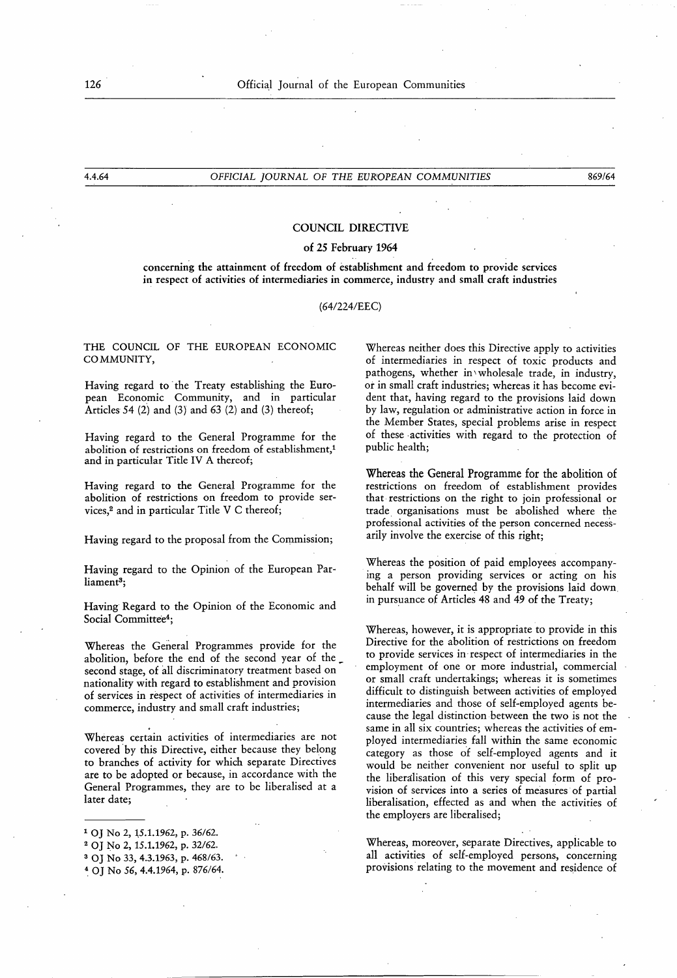# COUNCIL DIRECTIVE

## of 25 February 1964

concerning the attainment of freedom of establishment and freedom to provide services in respect of activities of intermediaries in commerce, industry and small craft industries

### (64/224/EEC)

# THE COUNCIL OF THE EUROPEAN ECONOMIC COMMUNITY,

Having regard to the Treaty establishing the European Economic Community, and in particular Articles 54 (2) and (3) and 63 (2) and (3) thereof;

Having regard to the General Programme for the abolition of restrictions on freedom of establishment,<sup>1</sup> and in particular Title IV A thereof;

Having regard to the General Programme for the abolition of restrictions on freedom to provide services,<sup>2</sup> and in particular Title V C thereof;

Having regard to the proposal from the Commission;

Having regard to the Opinion of the European Parliament<sup>3</sup>;

Having Regard to the Opinion of the Economic and Social Committee<sup>4</sup>;

Whereas the General Programmes provide for the abolition, before the end of the second year of the second stage, of all discriminatory treatment based on nationality with regard to establishment and provision of services in respect of activities of intermediaries in commerce, industry and small craft industries;

Whereas certain activities of intermediaries are not covered by this Directive, either because they belong to branches of activity for which separate Directives are to be adopted or because, in accordance with the General Programmes, they are to be liberalised at a later date;

<sup>4</sup> OJ No 56, 4.4.1964, p. 876/64.

Whereas neither does this Directive apply to activities of intermediaries in respect of toxic products and pathogens, whether in wholesale trade, in industry, or in small craft industries; whereas it has become evident that, having regard to the provisions laid down by law, regulation or administrative action in force in the Member States, special problems arise in respect of these activities with regard to the protection of public health;

Whereas the General Programme for the abolition of restrictions on freedom of establishment provides that restrictions on the right to join professional or trade organisations must be abolished where the professional activities of the person concerned necessarily involve the exercise of this right;

Whereas the position of paid employees accompanying a person providing services or acting on his behalf will be governed by the provisions laid down, in pursuance of Articles 48 and 49 of the Treaty;

Whereas, however, it is appropriate to provide in this Directive for the abolition of restrictions on freedom to provide services in respect of intermediaries in the employment of one or more industrial, commercial or small craft undertakings; whereas it is sometimes difficult to distinguish between activities of employed intermediaries and those of self-employed agents because the legal distinction between the two is not the same in all six countries; whereas the activities of employed intermediaries fall within the same economic category as those of self-employed agents and it would be neither convenient nor useful to split up the liberalisation of this very special form of provision of services into a series of measures of partial liberalisation, effected as and when the activities of the employers are liberalised;

Whereas, moreover, separate Directives, applicable to all activities of self-employed persons, concerning provisions relating to the movement and residence of

<sup>1</sup> OJ No 2, 15.1.1962, p. 36/62.

<sup>2</sup> OJ No 2, 15.1.1962, p. 32/62.

<sup>3</sup> OJ No 33, 4.3.1963, p. 468/63 .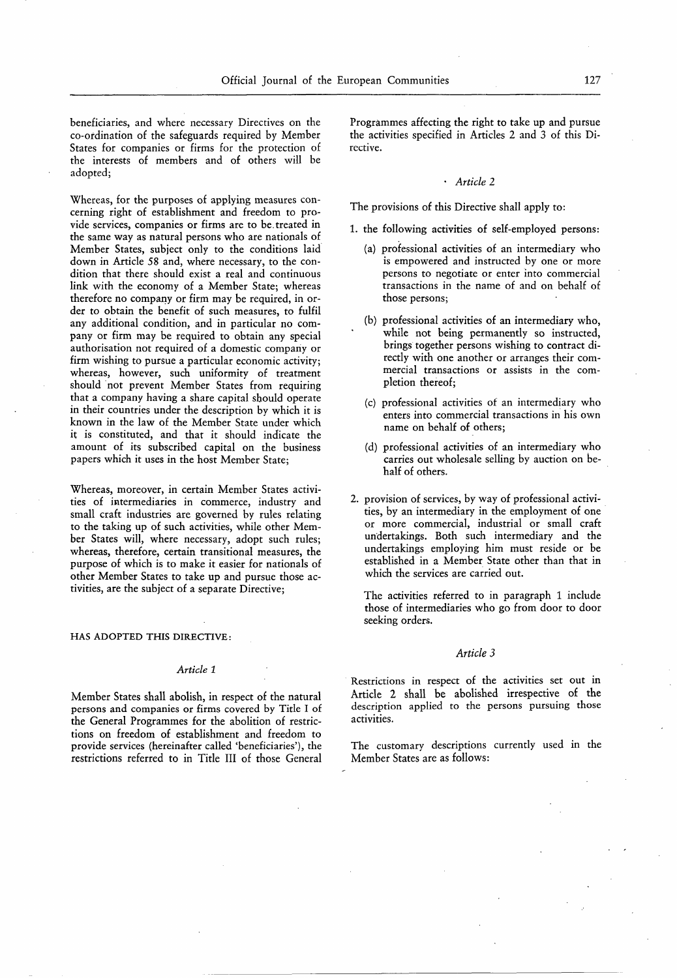beneficiaries, and where necessary Directives on the co-ordination of the safeguards required by Member States for companies or firms for the protection of the interests of members and of others will be adopted;

Whereas, for the purposes of applying measures concerning right of establishment and freedom to provide services, companies or firms are to be . treated in the same way as natural persons who are nationals of Member States, subject only to the conditions laid down in Article 58 and, where necessary, to the condition that there should exist a real and continuous link with the economy of a Member State; whereas therefore no company or firm may be required, in order to obtain the benefit of such measures, to fulfil any additional condition, and in particular no company or firm may be required to obtain any special authorisation not required of a domestic company or firm wishing to pursue a particular economic activity; whereas, however, such uniformity of treatment should not prevent Member States from requiring that a company having a share capital should operate in their countries under the description by which it is known in the law of the Member State under which it is constituted, and that it should indicate the amount of its subscribed capital on the business papers which it uses in the host Member State;

Whereas, moreover, in certain Member States activities of intermediaries in commerce, industry and small craft industries are governed by rules relating to the taking up of such activities, while other Member States will, where necessary, adopt such rules; whereas, therefore, certain transitional measures, the purpose of which is to make it easier for nationals of other Member States to take up and pursue those activities, are the subject of a separate Directive;

### HAS ADOPTED THIS DIRECTIVE:

### Article <sup>1</sup>

Member States shall abolish, in respect of the natural persons and companies or firms covered by Title I of the General Programmes for the abolition of restrictions on freedom of establishment and freedom to provide services (hereinafter called 'beneficiaries'), the restrictions referred to in Title III of those General Programmes affecting the right to take up and pursue the activities specified in Articles 2 and 3 of this Directive.

# • Article 2

The provisions of this Directive shall apply to :

- <sup>1</sup> . the following activities of self-employed persons:
	- (a) professional activities of an intermediary who is empowered and instructed by one or more persons to negotiate or enter into commercial transactions in the name of and on behalf of those persons;
	- (b) professional activities of an intermediary who, while not being permanently so instructed, brings together persons wishing to contract directly with one another or arranges their commercial transactions or assists in the completion thereof;
	- (c) professional activities of an intermediary who enters into commercial transactions in his own name on behalf of others;
	- (d) professional activities of an intermediary who carries out wholesale selling by auction on behalf of others.
- 2. provision of services, by way of professional activities, by an intermediary in the employment of one or more commercial, industrial or small craft undertakings. Both such intermediary and the undertakings employing him must reside or be established in a Member State other than that in which the services are carried out.

The activities referred to in paragraph 1 include those of intermediaries who go from door to door seeking orders.

# Article 3

Restrictions in respect of the activities set out in Article 2 shall be abolished irrespective of the description applied to the persons pursuing those activities.

The customary descriptions currently used in the Member States are as follows: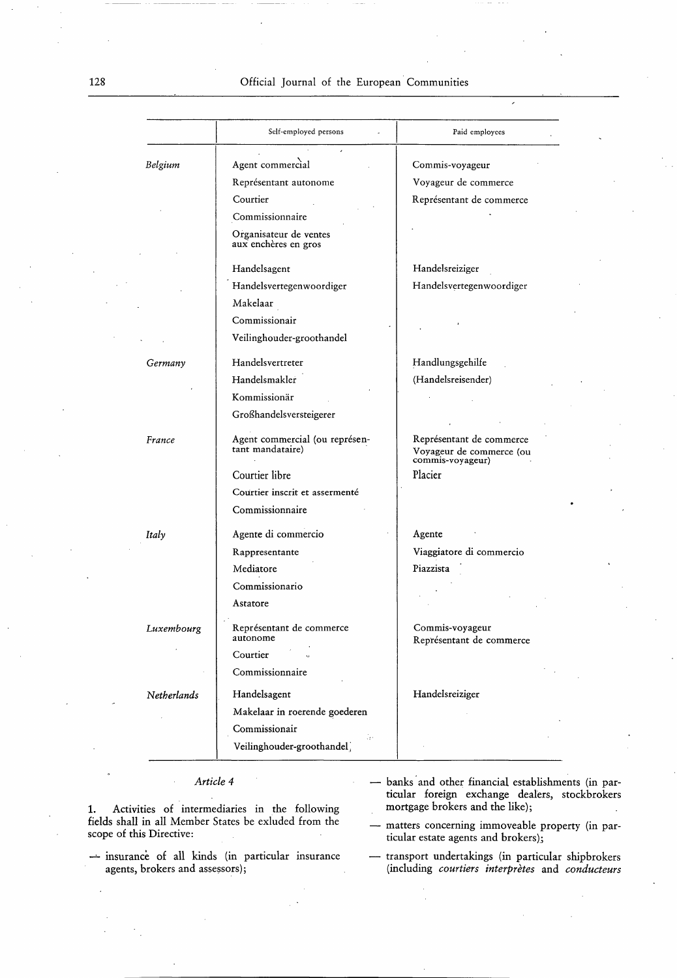128 Official Journal of the European Communities

|             | Self-employed persons                              | Paid employees                                                           |  |
|-------------|----------------------------------------------------|--------------------------------------------------------------------------|--|
| Belgium     | Agent commercial                                   | Commis-voyageur                                                          |  |
|             | Représentant autonome                              | Voyageur de commerce                                                     |  |
|             | Courtier                                           | Représentant de commerce                                                 |  |
|             | Commissionnaire                                    |                                                                          |  |
|             | Organisateur de ventes<br>aux enchères en gros     |                                                                          |  |
|             | Handelsagent                                       | Handelsreiziger                                                          |  |
|             | Handelsvertegenwoordiger                           | Handelsvertegenwoordiger                                                 |  |
|             | Makelaar                                           |                                                                          |  |
|             | Commissionair                                      |                                                                          |  |
|             | Veilinghouder-groothandel                          |                                                                          |  |
| Germany     | Handelsvertreter                                   | Handlungsgehilfe                                                         |  |
|             | Handelsmakler                                      | (Handelsreisender)                                                       |  |
|             | Kommissionär                                       |                                                                          |  |
|             | Großhandelsversteigerer                            |                                                                          |  |
| France      | Agent commercial (ou représen-<br>tant mandataire) | Représentant de commerce<br>Voyageur de commerce (ou<br>commis-voyageur) |  |
|             | Courtier libre                                     | Placier                                                                  |  |
|             | Courtier inscrit et assermenté                     |                                                                          |  |
|             | Commissionnaire                                    |                                                                          |  |
| Italy       | Agente di commercio                                | Agente                                                                   |  |
|             | Rappresentante                                     | Viaggiatore di commercio                                                 |  |
|             | Mediatore                                          | Piazzista                                                                |  |
|             | Commissionario                                     |                                                                          |  |
|             | Astatore                                           |                                                                          |  |
| Luxembourg  | Représentant de commerce<br>autonome               | Commis-voyageur<br>Représentant de commerce                              |  |
|             | Courtier                                           |                                                                          |  |
|             | Commissionnaire                                    |                                                                          |  |
| Netherlands | Handelsagent                                       | Handelsreiziger                                                          |  |
|             | Makelaar in roerende goederen                      |                                                                          |  |
|             | Commissionair                                      |                                                                          |  |
|             | ЙP.<br>Veilinghouder-groothandel                   |                                                                          |  |

1 . Activities of intermediaries in the following fields shall in all Member States be exluded from the scope of this Directive:

- insurance of all kinds (in particular insurance agents, brokers and assessors);
- Article 4 banks and other financial establishments (in particular foreign exchange dealers, stockbrokers mortgage brokers and the like);

- matters concerning immoveable property (in particular estate agents and brokers);

- transport undertakings (in particular shipbrokers (including courtiers interprètes and conducteurs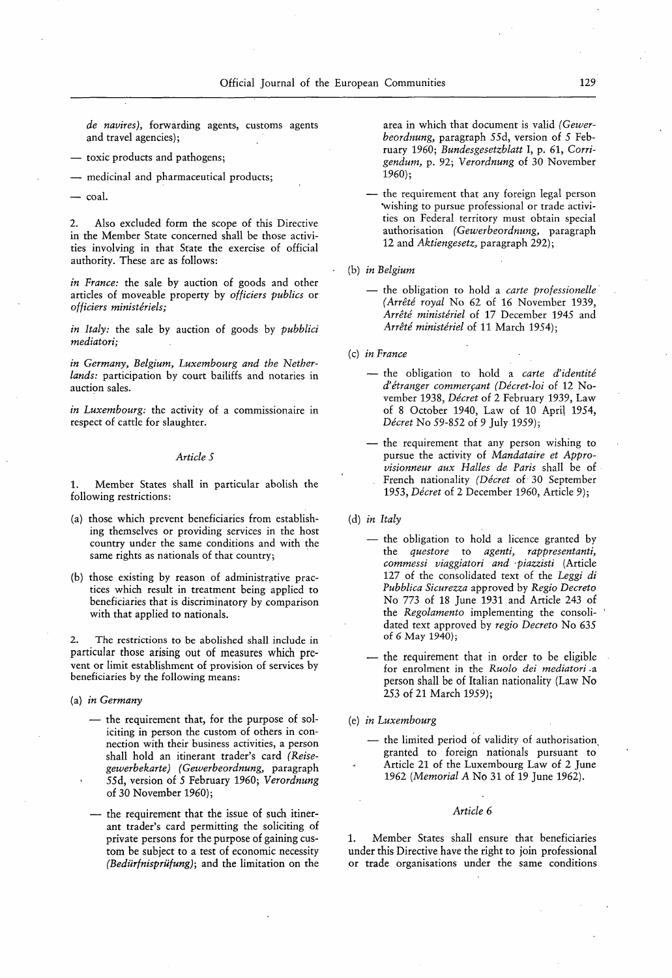de navires), forwarding agents, customs agents and travel agencies);

- toxic products and pathogens;
- medicinal and pharmaceutical products;

— coal.

2. Also excluded form the scope of this Directive in the Member State concerned shall be those activities involving in that State the exercise of official authority. These are as follows:

in France: the sale by auction of goods and other articles of moveable property by officiers publics or officiers ministériels;

in Italy: the sale by auction of goods by *pubblici* mediatori;

in Germany, Belgium, Luxembourg and the Netherlands: participation by court bailiffs and notaries in auction sales.

in Luxembourg: the activity of a commissionaire in respect of cattle for slaughter.

# Article 5

1. Member States shall in particular abolish the following restrictions:

- (a) those which prevent beneficiaries from establishing themselves or providing services in the host country under the same conditions and with the same rights as nationals of that country;
- (b) those existing by reason of administrative practices which result in treatment being applied to beneficiaries that is discriminatory by comparison with that applied to nationals.

2. The restrictions to be abolished shall include in particular those arising out of measures which prevent or limit establishment of provision of services by beneficiaries by the following means:

- the requirement that, for the purpose of soliciting in person the custom of others in connection with their business activities, a person shall hold an itinerant trader's card (Reisegewerbekarte) (Gewerbeordnung, paragraph 55d, version of 5 February 1960; Verordnung of 30 November 1960);
- the requirement that the issue of such itinerant trader's card permitting the soliciting of private persons for the purpose of gaining custom be subject to a test of economic necessity (Bedürfnisprüfung); and the limitation on the

area in which that document is valid (Gewerbeordnung, paragraph 55d, version of 5 February 1960; Bundesgesetzblatt I, p. 61, Corrigendum, p. 92; Verordnung of 30 November 1960);

- the requirement that any foreign legal person wishing to pursue professional or trade activities on Federal territory must obtain special authorisation (Gewerbeordnung, paragraph 12 and Aktiengesetz, paragraph 292);
- (b) in Belgium
	- the obligation to hold a *carte professionelle* (Arrêté royal No 62 of 16 November 1939, Arrêté ministériel of 17 December 1945 and Arrêté ministériel of 11 March 1954);

(c) in France

- the obligation to hold a carte d'identité d'étranger commerçant (Décret-loi of 12 November 1938, Décret of 2 February 1939, Law of 8 October 1940, Law of 10 April 1954, Décret No 59-852 of 9 July 1959);
- the requirement that any person wishing to pursue the activity of Mandataire et Approvisionneur aux Halles de Paris shall be of French nationality (Décret of 30 September 1953, *Décret* of 2 December 1960, Article 9);

(d) in Italy

- the obligation to hold a licence granted by the questore to agenti, rappresentanti, commessi viaggiatori and piazzisti (Artide 127 of the consolidated text of the Leggi di Pubblica Sicurezza approved by Regio Decreto No 773 of 18 June 1931 and Article 243 of the Regolamento implementing the consolidated text approved by regio Decreto No 635 of 6 May 1940);
- the requirement that in order to be eligible for enrolment in the Ruolo dei mediatori -a person shall be of Italian nationality (Law No (a) in Germany  $(253 \text{ of } 21 \text{ March } 1959);$

(e) in Luxembourg

the limited period of validity of authorisation granted to foreign nationals pursuant to Article 21 of the Luxembourg Law of 2 June 1962 (Memorial A No 31 of 19 June 1962).

### Article 6

1. Member States shall ensure that beneficiaries under this Directive have the right to join professional or trade organisations under the same conditions